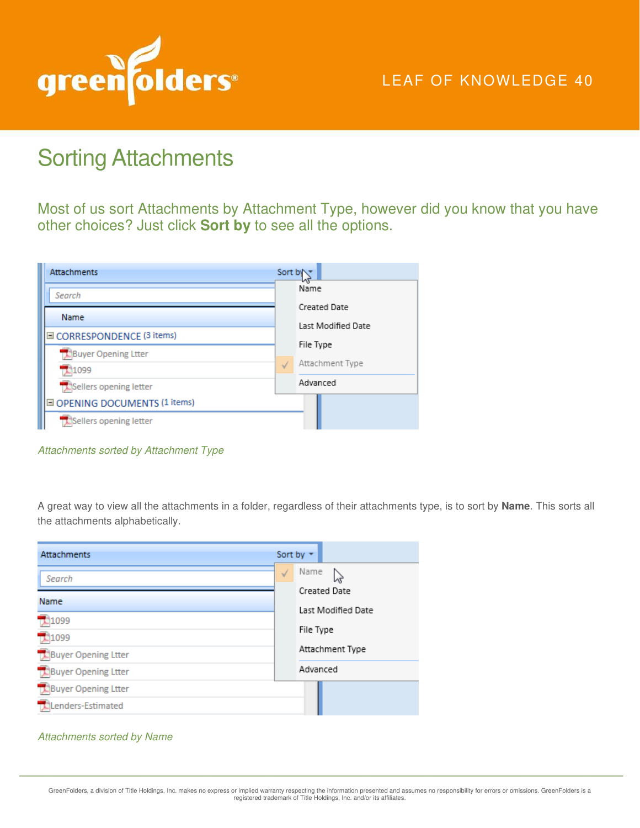

# LEAF OF KNOWLEDGE 40

# Sorting Attachments

Most of us sort Attachments by Attachment Type, however did you know that you have other choices? Just click **Sort by** to see all the options.

| <b>Attachments</b>          |              | Sort by             |
|-----------------------------|--------------|---------------------|
| Search                      |              | Name                |
|                             |              | <b>Created Date</b> |
| Name                        |              | Last Modified Date  |
| CORRESPONDENCE (3 items)    |              |                     |
| Buyer Opening Ltter         |              | File Type           |
| 11099                       | $\checkmark$ | Attachment Type     |
| Sellers opening letter      |              | Advanced            |
| OPENING DOCUMENTS (1 items) |              |                     |
| Sellers opening letter      |              |                     |

A great way to view all the attachments in a folder, regardless of their attachments type, is to sort by **Name**. This sorts all the attachments alphabetically.

| <b>Attachments</b>  |              | Sort by -           |  |  |
|---------------------|--------------|---------------------|--|--|
| Search              | $\checkmark$ | Name                |  |  |
| Name                |              | <b>Created Date</b> |  |  |
|                     |              | Last Modified Date  |  |  |
| 11099               |              | File Type           |  |  |
| 1099                |              |                     |  |  |
| Buyer Opening Ltter |              | Attachment Type     |  |  |
| Buyer Opening Ltter |              | Advanced            |  |  |
| Buyer Opening Ltter |              |                     |  |  |
| Lenders-Estimated   |              |                     |  |  |

## Attachments sorted by Name

Attachments sorted by Attachment Type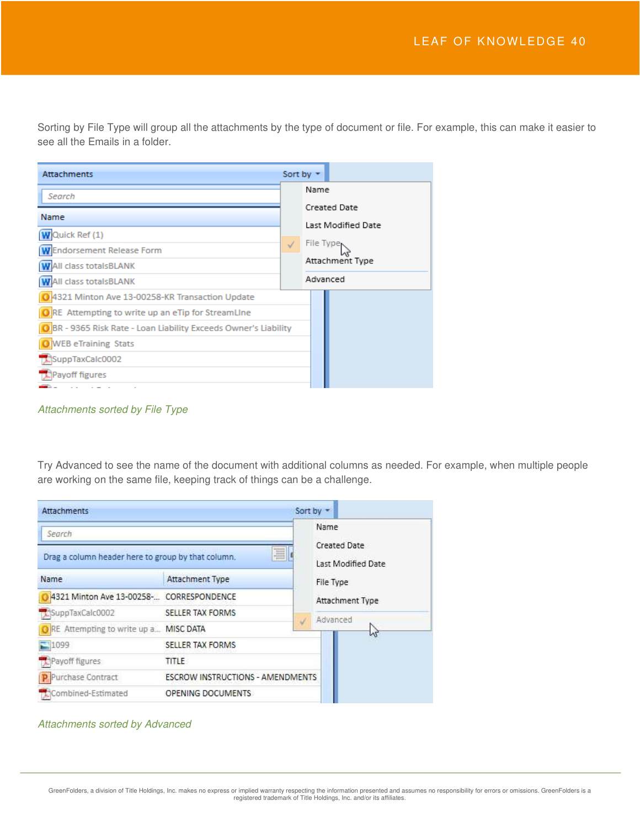Sorting by File Type will group all the attachments by the type of document or file. For example, this can make it easier to see all the Emails in a folder.



#### Attachments sorted by File Type

Try Advanced to see the name of the document with additional columns as needed. For example, when multiple people are working on the same file, keeping track of things can be a challenge.

| <b>Attachments</b>                                           |                                  |   | Sort by -                                                                 |  |  |
|--------------------------------------------------------------|----------------------------------|---|---------------------------------------------------------------------------|--|--|
| Search<br>Drag a column header here to group by that column. |                                  | 昌 | Name<br><b>Created Date</b>                                               |  |  |
| Name                                                         | Attachment Type                  |   | Last Modified Date<br>File Type<br>Attachment Type<br>Advanced<br>J<br>hz |  |  |
| 4321 Minton Ave 13-00258- CORRESPONDENCE                     |                                  |   |                                                                           |  |  |
| SuppTaxCalc0002                                              | <b>SELLER TAX FORMS</b>          |   |                                                                           |  |  |
| ORE Attempting to write up a MISC DATA                       |                                  |   |                                                                           |  |  |
| 1099                                                         | <b>SELLER TAX FORMS</b>          |   |                                                                           |  |  |
| Payoff figures                                               | <b>TITLE</b>                     |   |                                                                           |  |  |
| P Purchase Contract                                          | ESCROW INSTRUCTIONS - AMENDMENTS |   |                                                                           |  |  |
| Combined-Estimated                                           | OPENING DOCUMENTS                |   |                                                                           |  |  |

### Attachments sorted by Advanced